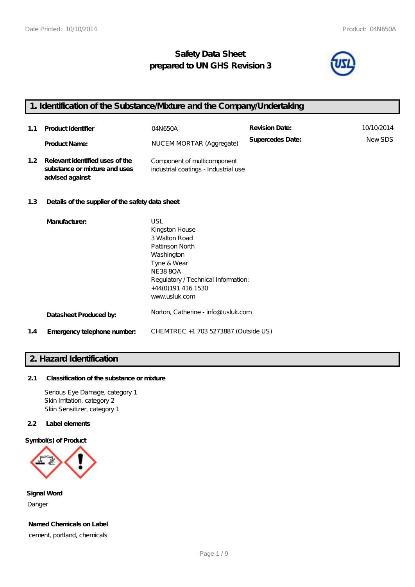# **Safety Data Sheet prepared to UN GHS Revision 3**

**1. Identification of the Substance/Mixture and the Company/Undertaking**



# **1.1 Product Identifier** 04N650A **Revision Date:** 10/10/2014 **Supercedes Date:** New SDS **Product Name:** New SDS **1.2 Relevant identified uses of the substance or mixture and uses advised against** Component of multicomponent industrial coatings - Industrial use **1.3 Details of the supplier of the safety data sheet Manufacturer:** USL Kingston House 3 Walton Road Pattinson North Washington Tyne & Wear NE38 8QA Regulatory / Technical Information: +44(0)191 416 1530 www.usluk.com **Datasheet Produced by:** Norton, Catherine - info@usluk.com **1.4 Emergency telephone number:** CHEMTREC +1 703 5273887 (Outside US)

# **2. Hazard Identification**

# **2.1 Classification of the substance or mixture**

Serious Eye Damage, category 1 Skin Irritation, category 2 Skin Sensitizer, category 1

# **2.2 Label elements**

### **Symbol(s) of Product**



**Signal Word** Danger

**Named Chemicals on Label**

cement, portland, chemicals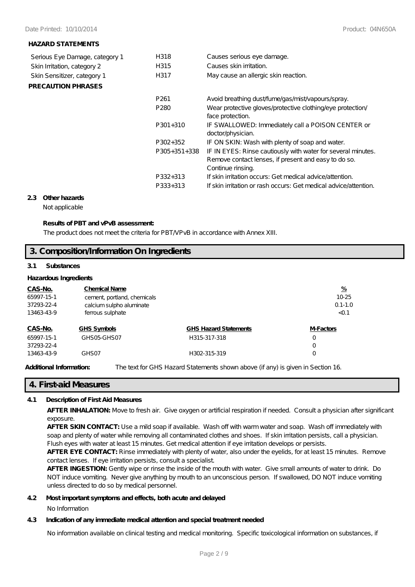# **HAZARD STATEMENTS**

| Serious Eye Damage, category 1 | H318                 | Causes serious eye damage.                                                                                                                |
|--------------------------------|----------------------|-------------------------------------------------------------------------------------------------------------------------------------------|
| Skin Irritation, category 2    | H315                 | Causes skin irritation.                                                                                                                   |
| Skin Sensitizer, category 1    | H317                 | May cause an allergic skin reaction.                                                                                                      |
| <b>PRECAUTION PHRASES</b>      |                      |                                                                                                                                           |
|                                | P <sub>261</sub>     | Avoid breathing dust/fume/gas/mist/vapours/spray.                                                                                         |
|                                | P <sub>280</sub>     | Wear protective gloves/protective clothing/eye protection/<br>face protection.                                                            |
|                                | $P301+310$           | IF SWALLOWED: Immediately call a POISON CENTER or<br>doctor/physician.                                                                    |
|                                | $P302+352$           | IF ON SKIN: Wash with plenty of soap and water.                                                                                           |
|                                | $P305+351+338$       | IF IN EYES: Rinse cautiously with water for several minutes.<br>Remove contact lenses, if present and easy to do so.<br>Continue rinsing. |
|                                | P332+313<br>P333+313 | If skin irritation occurs: Get medical advice attention.<br>If skin irritation or rash occurs: Get medical advice attention.              |

# **2.3 Other hazards**

Not applicable

#### **Results of PBT and vPvB assessment:**

The product does not meet the criteria for PBT/VPvB in accordance with Annex XIII.

# **3. Composition/Information On Ingredients**

### **3.1 Substances**

# **Hazardous Ingredients**

| CAS-No.    | <b>Chemical Name</b>        |                              | <u>%</u>         |
|------------|-----------------------------|------------------------------|------------------|
| 65997-15-1 | cement, portland, chemicals |                              | $10 - 25$        |
| 37293-22-4 | calcium sulpho aluminate    |                              | $0.1 - 1.0$      |
| 13463-43-9 | ferrous sulphate            |                              | < 0.1            |
| CAS-No.    | <b>GHS Symbols</b>          | <b>GHS Hazard Statements</b> | <b>M-Factors</b> |
| 65997-15-1 | GHSO <sub>5</sub> -GHSO7    | H315-317-318                 | 0                |
|            |                             |                              |                  |
| 37293-22-4 |                             |                              | 0                |

Additional Information: The text for GHS Hazard Statements shown above (if any) is given in Section 16.

### **4. First-aid Measures**

# **4.1 Description of First Aid Measures**

**AFTER INHALATION:** Move to fresh air. Give oxygen or artificial respiration if needed. Consult a physician after significant exposure.

**AFTER SKIN CONTACT:** Use a mild soap if available. Wash off with warm water and soap. Wash off immediately with soap and plenty of water while removing all contaminated clothes and shoes. If skin irritation persists, call a physician. Flush eyes with water at least 15 minutes. Get medical attention if eye irritation develops or persists.

**AFTER EYE CONTACT:** Rinse immediately with plenty of water, also under the eyelids, for at least 15 minutes. Remove contact lenses. If eye irritation persists, consult a specialist.

**AFTER INGESTION:** Gently wipe or rinse the inside of the mouth with water. Give small amounts of water to drink. Do NOT induce vomiting. Never give anything by mouth to an unconscious person. If swallowed, DO NOT induce vomiting unless directed to do so by medical personnel.

### **4.2 Most important symptoms and effects, both acute and delayed**

No Information

### **4.3 Indication of any immediate medical attention and special treatment needed**

No information available on clinical testing and medical monitoring. Specific toxicological information on substances, if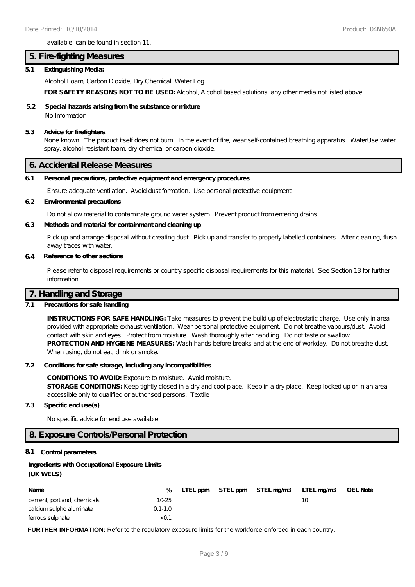available, can be found in section 11.

# **5. Fire-fighting Measures**

# **5.1 Extinguishing Media:**

Alcohol Foam, Carbon Dioxide, Dry Chemical, Water Fog

FOR SAFETY REASONS NOT TO BE USED: Alcohol, Alcohol based solutions, any other media not listed above.

**5.2 Special hazards arising from the substance or mixture**

No Information

### **5.3 Advice for firefighters**

None known. The product itself does not burn. In the event of fire, wear self-contained breathing apparatus. WaterUse water spray, alcohol-resistant foam, dry chemical or carbon dioxide.

# **6. Accidental Release Measures**

### **6.1 Personal precautions, protective equipment and emergency procedures**

Ensure adequate ventilation. Avoid dust formation. Use personal protective equipment.

# **6.2 Environmental precautions**

Do not allow material to contaminate ground water system. Prevent product from entering drains.

### **6.3 Methods and material for containment and cleaning up**

Pick up and arrange disposal without creating dust. Pick up and transfer to properly labelled containers. After cleaning, flush away traces with water.

### **6.4 Reference to other sections**

Please refer to disposal requirements or country specific disposal requirements for this material. See Section 13 for further information.

# **7. Handling and Storage**

# **7.1 Precautions for safe handling**

**INSTRUCTIONS FOR SAFE HANDLING:** Take measures to prevent the build up of electrostatic charge. Use only in area provided with appropriate exhaust ventilation. Wear personal protective equipment. Do not breathe vapours/dust. Avoid contact with skin and eyes. Protect from moisture. Wash thoroughly after handling. Do not taste or swallow. **PROTECTION AND HYGIENE MEASURES:** Wash hands before breaks and at the end of workday. Do not breathe dust. When using, do not eat, drink or smoke.

# **7.2 Conditions for safe storage, including any incompatibilities**

**CONDITIONS TO AVOID:** Exposure to moisture. Avoid moisture. **STORAGE CONDITIONS:** Keep tightly closed in a dry and cool place. Keep in a dry place. Keep locked up or in an area accessible only to qualified or authorised persons. Textile

### **7.3 Specific end use(s)**

No specific advice for end use available.

# **8. Exposure Controls/Personal Protection**

# **8.1 Control parameters**

# **Ingredients with Occupational Exposure Limits (UK WELS)**

| <u>Name</u>                |         | LTEL ppm | STEL ppm STEL mg/m3 | LTEL mg/m3 | <b>OEL Note</b> |
|----------------------------|---------|----------|---------------------|------------|-----------------|
| cement portland, chemicals | 10-25   |          |                     | 10         |                 |
| calcium sulpho aluminate   | 0.1-1.0 |          |                     |            |                 |
| ferrous sulphate           | <0.1    |          |                     |            |                 |

**FURTHER INFORMATION:** Refer to the regulatory exposure limits for the workforce enforced in each country.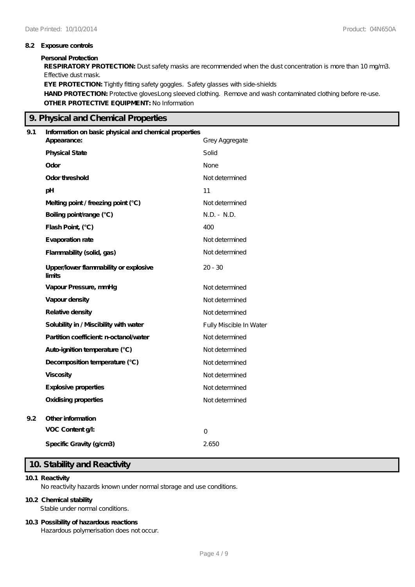# **8.2 Exposure controls**

# **Personal Protection**

**RESPIRATORY PROTECTION:** Dust safety masks are recommended when the dust concentration is more than 10 mg/m3. Effective dust mask.

EYE PROTECTION: Tightly fitting safety goggles. Safety glasses with side-shields

HAND PROTECTION: Protective glovesLong sleeved clothing. Remove and wash contaminated clothing before re-use. **OTHER PROTECTIVE EQUIPMENT:** No Information

# **9. Physical and Chemical Properties**

# **9.1 Information on basic physical and chemical properties Appearance:** Grey Aggregate **Physical State** Solid **Odor** None **Odor threshold** Not determined **pH** 11 **Melting point / freezing point (°C)** Not determined **Boiling point/range (°C)** N.D. - N.D. **Flash Point, (°C)** 400 **Evaporation rate** Not determined **Flammability (solid, gas)** Not determined **Upper/lower flammability or explosive limits** 20 - 30 **Vapour Pressure, mmHg** Not determined **Vapour density Not determined Relative density Not determined Solubility in / Miscibility with water** Fully Miscible In Water Partition coefficient: n-octanol/water **Not determined Auto-ignition temperature (°C)** Not determined **Decomposition temperature (°C)** Not determined **Viscosity Not determined Explosive properties** Not determined **Oxidising properties** Not determined **9.2 Other information VOC Content g/l:** 0 **Specific Gravity (g/cm3)** 2.650

# **10. Stability and Reactivity**

# **10.1 Reactivity**

No reactivity hazards known under normal storage and use conditions.

# **10.2 Chemical stability**

Stable under normal conditions.

# **10.3 Possibility of hazardous reactions**

Hazardous polymerisation does not occur.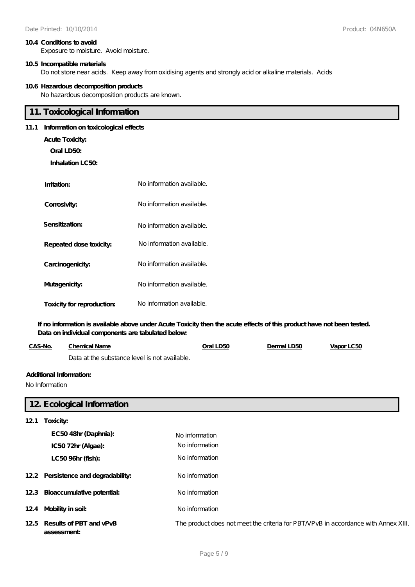Exposure to moisture. Avoid moisture.

### **10.5 Incompatible materials**

Do not store near acids. Keep away from oxidising agents and strongly acid or alkaline materials. Acids

### **10.6 Hazardous decomposition products**

No hazardous decomposition products are known.

# **11. Toxicological Information**

# **11.1 Information on toxicological effects**

- **Acute Toxicity:**
	- **Oral LD50:**

**Inhalation LC50:**

| Imitation:                 | No information available. |
|----------------------------|---------------------------|
| Corrosivity:               | No information available. |
| Sensitization:             | No information available. |
| Repeated dose toxicity:    | No information available. |
| Carcinogenicity:           | No information available. |
| Mutagenicity:              | No information available. |
| Toxicity for reproduction: | No information available. |

### **If no information is available above under Acute Toxicity then the acute effects of this product have not been tested. Data on individual components are tabulated below:**

| CAS-No. | <b>Chemical Name</b>                          | Oral LD50 | Dermal LD50 | Vapor LC50 |
|---------|-----------------------------------------------|-----------|-------------|------------|
|         | Data at the substance level is not available. |           |             |            |

# **Additional Information:**

No Information

# **12. Ecological Information**

### **12.1 Toxicity:**

| EC5048hr (Daphnia):                       | No information                                                                     |
|-------------------------------------------|------------------------------------------------------------------------------------|
| IC5072hr (Algae):                         | No information                                                                     |
| LC50 96hr (fish):                         | No information                                                                     |
| 12.2 Persistence and degradability:       | No information                                                                     |
| 12.3 Bioaccumulative potential:           | No information                                                                     |
| 124 Mobility in soil:                     | No information                                                                     |
| 125 Results of PBT and vPvB<br>assessment | The product does not meet the criteria for PBT/VPvB in accordance with Annex XIII. |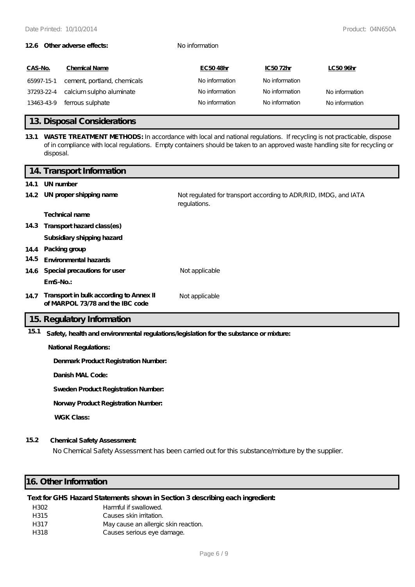### **12.6** Other adverse effects:

| CAS-No.    | <b>Chemical Name</b>       | EC5048hr       | IC5072hr       | LC5096hr       |
|------------|----------------------------|----------------|----------------|----------------|
| 65997-15-1 | cement portland, chemicals | No information | No information |                |
| 37293-22-4 | calcium sulpho aluminate   | No information | No information | No information |
| 13463-43-9 | ferrous sulphate           | No information | No information | No information |

# **13. Disposal Considerations**

# **13.1 WASTE TREATMENT METHODS:** In accordance with local and national regulations. If recycling is not practicable, dispose of in compliance with local regulations. Empty containers should be taken to an approved waste handling site for recycling or disposal.

|      | 14. Transport Information                                                   |                                                                                  |
|------|-----------------------------------------------------------------------------|----------------------------------------------------------------------------------|
|      | 14.1 UN number                                                              |                                                                                  |
|      | 14.2 UN proper shipping name                                                | Not regulated for transport according to ADR RID, IMDG, and IATA<br>regulations. |
|      | <b>Technical name</b>                                                       |                                                                                  |
|      | 14.3 Transport hazard class(es)                                             |                                                                                  |
|      | Subsidiary shipping hazard                                                  |                                                                                  |
|      | 14.4 Packing group                                                          |                                                                                  |
| 14.5 | Environmental hazards                                                       |                                                                                  |
|      | 14.6 Special precautions for user                                           | Not applicable                                                                   |
|      | $EmS-No.$ :                                                                 |                                                                                  |
| 14.7 | Transport in bulk according to Annex II<br>of MARPOL 73/78 and the IBC code | Not applicable                                                                   |
|      | 15. Regulatory Information                                                  |                                                                                  |

**15.1 Safety, health and environmental regulations/legislation for the substance or mixture:**

**National Regulations:**

**Denmark Product Registration Number:**

**Danish MAL Code:**

**Sweden Product Registration Number:**

**Norway Product Registration Number:**

**WGK Class:**

# **15.2 Chemical Safety Assessment:**

No Chemical Safety Assessment has been carried out for this substance/mixture by the supplier.

# **16. Other Information**

### **Text for GHS Hazard Statements shown in Section 3 describing each ingredient:**

- H302 Harmful if swallowed.
- H315 Causes skin irritation.
- H317 May cause an allergic skin reaction.
- H318 Causes serious eye damage.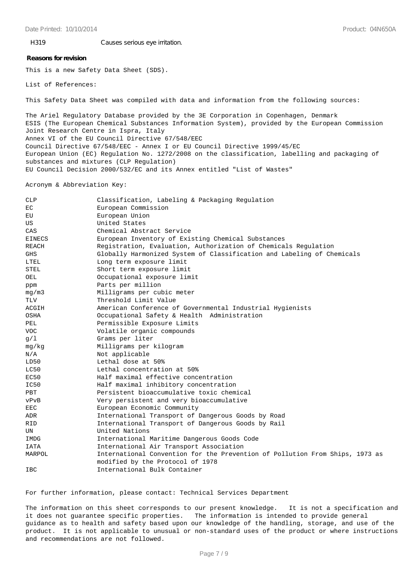Date Printed: 10/10/2014 **Product: 04N650A** 

H319 Causes serious eye irritation.

#### **Reasons for revision**

This is a new Safety Data Sheet (SDS).

List of References:

This Safety Data Sheet was compiled with data and information from the following sources:

The Ariel Regulatory Database provided by the 3E Corporation in Copenhagen, Denmark ESIS (The European Chemical Substances Information System), provided by the European Commission Joint Research Centre in Ispra, Italy Annex VI of the EU Council Directive 67/548/EEC Council Directive 67/548/EEC - Annex I or EU Council Directive 1999/45/EC European Union (EC) Regulation No. 1272/2008 on the classification, labelling and packaging of substances and mixtures (CLP Regulation) EU Council Decision 2000/532/EC and its Annex entitled "List of Wastes"

Acronym & Abbreviation Key:

| CLP           | Classification, Labeling & Packaging Regulation                              |
|---------------|------------------------------------------------------------------------------|
| EC            | European Commission                                                          |
| EU            | European Union                                                               |
| US            | United States                                                                |
| CAS           | Chemical Abstract Service                                                    |
| <b>EINECS</b> | European Inventory of Existing Chemical Substances                           |
| REACH         | Registration, Evaluation, Authorization of Chemicals Regulation              |
| <b>GHS</b>    | Globally Harmonized System of Classification and Labeling of Chemicals       |
| LTEL          | Long term exposure limit                                                     |
| <b>STEL</b>   | Short term exposure limit                                                    |
| OEL           | Occupational exposure limit                                                  |
| ppm           | Parts per million                                                            |
| mq/m3         | Milligrams per cubic meter                                                   |
| TLV           | Threshold Limit Value                                                        |
| ACGIH         | American Conference of Governmental Industrial Hygienists                    |
| OSHA          | Occupational Safety & Health Administration                                  |
| PEL           | Permissible Exposure Limits                                                  |
| VOC.          | Volatile organic compounds                                                   |
| q/1           | Grams per liter                                                              |
| mg/kg         | Milligrams per kilogram                                                      |
| N/A           | Not applicable                                                               |
| LD50          | Lethal dose at 50%                                                           |
| LC50          | Lethal concentration at 50%                                                  |
| EC50          | Half maximal effective concentration                                         |
| IC50          | Half maximal inhibitory concentration                                        |
| PBT           | Persistent bioaccumulative toxic chemical                                    |
| vPvB          | Very persistent and very bioaccumulative                                     |
| EEC           | European Economic Community                                                  |
| <b>ADR</b>    | International Transport of Dangerous Goods by Road                           |
| RID           | International Transport of Dangerous Goods by Rail                           |
| UN            | United Nations                                                               |
| IMDG          | International Maritime Dangerous Goods Code                                  |
| IATA          | International Air Transport Association                                      |
| MARPOL        | International Convention for the Prevention of Pollution From Ships, 1973 as |
|               | modified by the Protocol of 1978                                             |
| <b>IBC</b>    | International Bulk Container                                                 |

For further information, please contact: Technical Services Department

The information on this sheet corresponds to our present knowledge. It is not a specification and it does not guarantee specific properties. The information is intended to provide general guidance as to health and safety based upon our knowledge of the handling, storage, and use of the product. It is not applicable to unusual or non-standard uses of the product or where instructions and recommendations are not followed.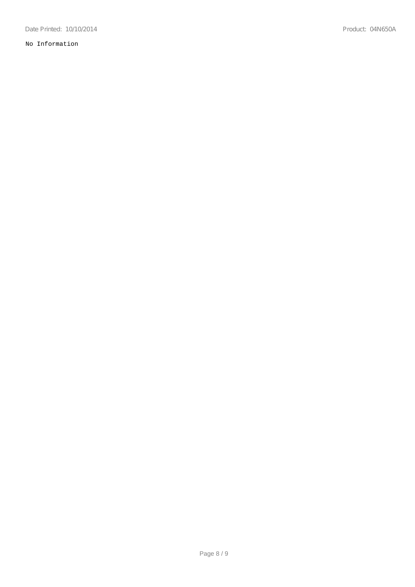# No Information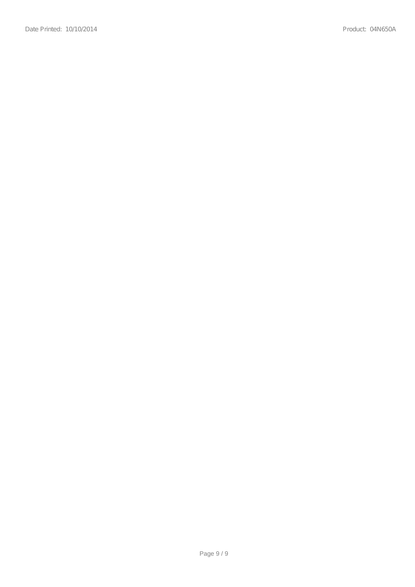Date Printed: 10/10/2014 Product: 04N650A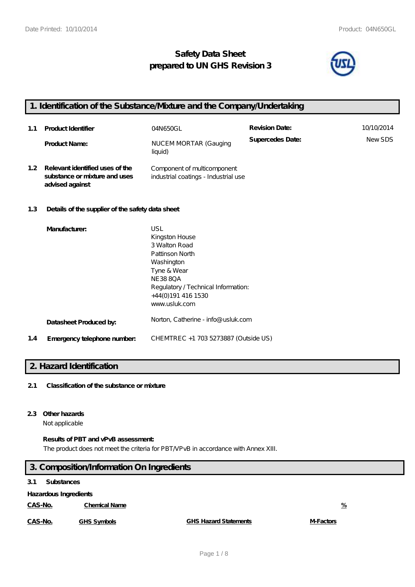# **Safety Data Sheet prepared to UN GHS Revision 3**



# **1. Identification of the Substance/Mixture and the Company/Undertaking**

| 1.1 | <b>Product Identifier</b>                                                           | 04N 650G L                                                          | <b>Revision Date:</b> | 10/10/2014 |
|-----|-------------------------------------------------------------------------------------|---------------------------------------------------------------------|-----------------------|------------|
|     | <b>Product Name:</b>                                                                | NUCEM MORTAR (Gauging<br>liquid)                                    | Supercedes Date:      | NewSDS     |
| 1.2 | Relevant identified uses of the<br>substance or mixture and uses<br>advised against | Component of multicomponent<br>industrial coatings - Industrial use |                       |            |

# **1.3 Details of the supplier of the safety data sheet**

|     | Manufacturer:               | USL                                  |
|-----|-----------------------------|--------------------------------------|
|     |                             | Kingston House                       |
|     |                             | 3 Walton Road                        |
|     |                             | Pattinson North                      |
|     |                             | Washington                           |
|     |                             | Tyne & Wear                          |
|     |                             | <b>NE3880A</b>                       |
|     |                             | Regulatory / Technical Information:  |
|     |                             | +44(0)191 416 1530                   |
|     |                             | www.usluk.com                        |
|     | Datasheet Produced by:      | Norton, Catherine - info@ usluk.com  |
| 1.4 | Emergency telephone number. | CHEMTREC +1 703 5273887 (Outside US) |

# **2. Hazard Identification**

# **2.1 Classification of the substance or mixture**

# **2.3 Other hazards**

Not applicable

# **Results of PBT and vPvB assessment:**

The product does not meet the criteria for PBT/VPvB in accordance with Annex XIII.

# **3. Composition/Information On Ingredients**

# **3.1 Substances**

### **Hazardous Ingredients**

**CAS-No. Chemical Name %**

**CAS-No. GHS Symbols GHS Hazard Statements M-Factors**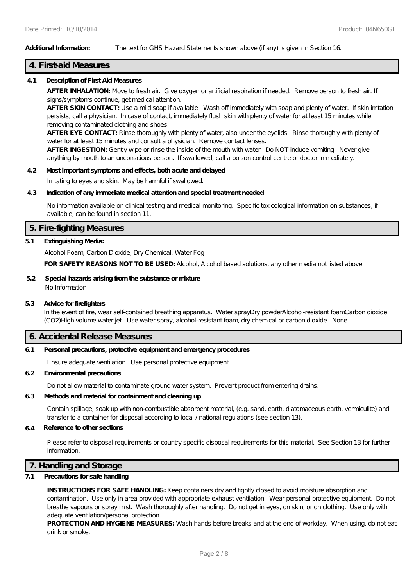### **Additional Information:** The text for GHS Hazard Statements shown above (if any) is given in Section 16.

# **4. First-aid Measures**

# **4.1 Description of First Aid Measures**

AFTER INHALATION: Move to fresh air. Give oxygen or artificial respiration if needed. Remove person to fresh air. If signs/symptoms continue, get medical attention.

**AFTER SKIN CONTACT:** Use a mild soap if available. Wash off immediately with soap and plenty of water. If skin irritation persists, call a physician. In case of contact, immediately flush skin with plenty of water for at least 15 minutes while removing contaminated clothing and shoes.

**AFTER EYE CONTACT:** Rinse thoroughly with plenty of water, also under the eyelids. Rinse thoroughly with plenty of water for at least 15 minutes and consult a physician. Remove contact lenses.

AFTER INGESTION: Gently wipe or rinse the inside of the mouth with water. Do NOT induce vomiting. Never give anything by mouth to an unconscious person. If swallowed, call a poison control centre or doctor immediately.

# **4.2 Most important symptoms and effects, both acute and delayed**

Irritating to eyes and skin. May be harmful if swallowed.

### **4.3 Indication of any immediate medical attention and special treatment needed**

No information available on clinical testing and medical monitoring. Specific toxicological information on substances, if available, can be found in section 11.

# **5. Fire-fighting Measures**

# **5.1 Extinguishing Media:**

Alcohol Foam, Carbon Dioxide, Dry Chemical, Water Fog

**FOR SAFETY REASONS NOT TO BE USED:** Alcohol, Alcohol based solutions, any other media not listed above.

# **5.2 Special hazards arising from the substance or mixture**

No Information

### **5.3 Advice for firefighters**

In the event of fire, wear self-contained breathing apparatus. Water sprayDry powderAlcohol-resistant foamCarbon dioxide (CO2)High volume water jet. Use water spray, alcohol-resistant foam, dry chemical or carbon dioxide. None.

# **6. Accidental Release Measures**

### **6.1 Personal precautions, protective equipment and emergency procedures**

Ensure adequate ventilation. Use personal protective equipment.

### **6.2 Environmental precautions**

Do not allow material to contaminate ground water system. Prevent product from entering drains.

### **6.3 Methods and material for containment and cleaning up**

Contain spillage, soak up with non-combustible absorbent material, (e.g. sand, earth, diatomaceous earth, vermiculite) and transfer to a container for disposal according to local / national regulations (see section 13).

### **6.4 Reference to other sections**

Please refer to disposal requirements or country specific disposal requirements for this material. See Section 13 for further information.

# **7. Handling and Storage**

### **7.1 Precautions for safe handling**

**INSTRUCTIONS FOR SAFE HANDLING:** Keep containers dry and tightly closed to avoid moisture absorption and contamination. Use only in area provided with appropriate exhaust ventilation. Wear personal protective equipment. Do not breathe vapours or spray mist. Wash thoroughly after handling. Do not get in eyes, on skin, or on clothing. Use only with adequate ventilation/personal protection.

**PROTECTION AND HYGIENE MEASURES:** Wash hands before breaks and at the end of workday. When using, do not eat, drink or smoke.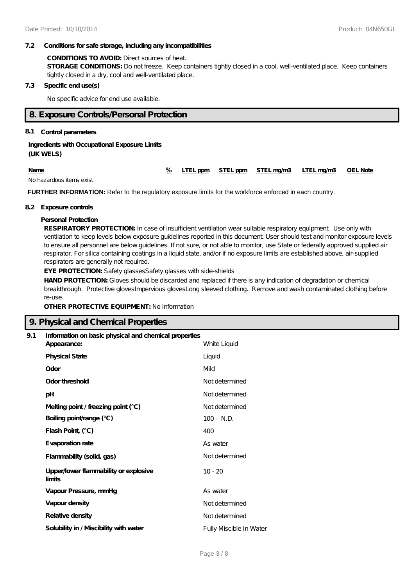# **7.2 Conditions for safe storage, including any incompatibilities**

**CONDITIONS TO AVOID:** Direct sources of heat.

**STORAGE CONDITIONS:** Do not freeze. Keep containers tightly closed in a cool, well-ventilated place. Keep containers tightly closed in a dry, cool and well-ventilated place.

### **7.3 Specific end use(s)**

No specific advice for end use available.

# **8. Exposure Controls/Personal Protection**

### **8.1 Control parameters**

### **Ingredients with Occupational Exposure Limits**

**(UK WELS)**

No hazardous items exist

**Name % LTEL ppm STEL ppm STEL mg/m3 LTEL mg/m3 OEL Note**

**FURTHER INFORMATION:** Refer to the regulatory exposure limits for the workforce enforced in each country.

### **8.2 Exposure controls**

# **Personal Protection**

**RESPIRATORY PROTECTION:** In case of insufficient ventilation wear suitable respiratory equipment. Use only with ventilation to keep levels below exposure guidelines reported in this document. User should test and monitor exposure levels to ensure all personnel are below guidelines. If not sure, or not able to monitor, use State or federally approved supplied air respirator. For silica containing coatings in a liquid state, and/or if no exposure limits are established above, air-supplied respirators are generally not required.

**EYE PROTECTION:** Safety glassesSafety glasses with side-shields

HAND PROTECTION: Gloves should be discarded and replaced if there is any indication of degradation or chemical breakthrough. Protective glovesImpervious glovesLong sleeved clothing. Remove and wash contaminated clothing before re-use.

**OTHER PROTECTIVE EQUIPMENT:** No Information

# **9. Physical and Chemical Properties**

| 9.1 | Information on basic physical and chemical properties |                         |
|-----|-------------------------------------------------------|-------------------------|
|     | Appearance:                                           | White Liquid            |
|     | <b>Physical State</b>                                 | Liquid                  |
|     | Odor                                                  | Mild                    |
|     | Odor threshold                                        | Not determined          |
|     | pH                                                    | Not determined          |
|     | Melting point / freezing point (°C)                   | Not determined          |
|     | Boiling point/range (°C)                              | $100 - N.D.$            |
|     | Flash Point, (°C)                                     | 400                     |
|     | Evaporation rate                                      | As water                |
|     | Flammability (solid, gas)                             | Not determined          |
|     | Upper/lower flammability or explosive<br>limits       | $10 - 20$               |
|     | Vapour Pressure, mmHg                                 | As water                |
|     | Vapour density                                        | Not determined          |
|     | Relative density                                      | Not determined          |
|     | Solubility in / Miscibility with water                | Fully Miscible In Water |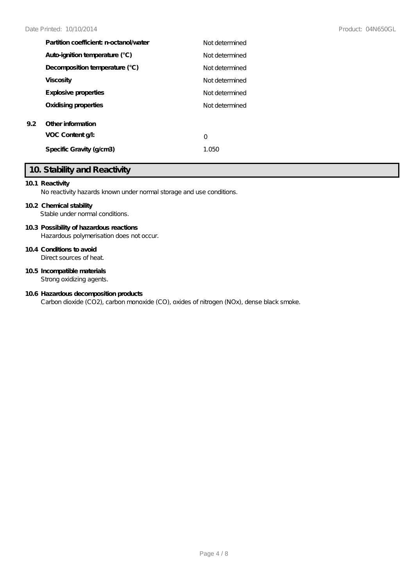|     | Partition coefficient n-octanol/water | Not determined |
|-----|---------------------------------------|----------------|
|     | Auto-ignition temperature (°C)        | Not determined |
|     | Decomposition temperature (°C)        | Not determined |
|     | Viscosity                             | Not determined |
|     | Explosive properties                  | Not determined |
|     | <b>Oxidising properties</b>           | Not determined |
| 9.2 | Other information                     |                |
|     | VOC Content g/:                       | $\Omega$       |
|     | Specific Gravity (g/cm3)              | 1.050          |

# **10. Stability and Reactivity**

# **10.1 Reactivity**

No reactivity hazards known under normal storage and use conditions.

# **10.2 Chemical stability**

Stable under normal conditions.

# **10.3 Possibility of hazardous reactions**

Hazardous polymerisation does not occur.

# **10.4 Conditions to avoid**

Direct sources of heat.

# **10.5 Incompatible materials**

Strong oxidizing agents.

# **10.6 Hazardous decomposition products**

Carbon dioxide (CO2), carbon monoxide (CO), oxides of nitrogen (NOx), dense black smoke.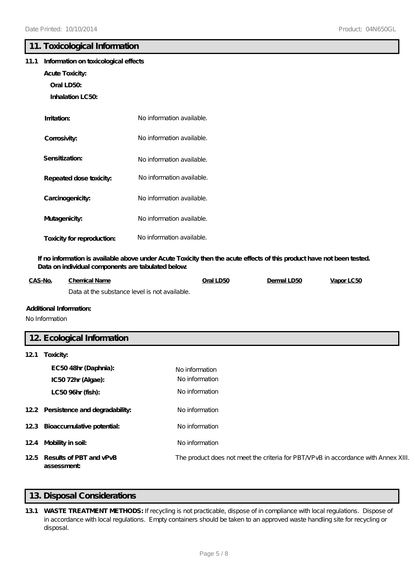# **11. Toxicological Information**

# **11.1 Information on toxicological effects**

- **Acute Toxicity:**
- **Oral LD50:**
- **Inhalation LC50:**

| Imitation:                 | No information available. |
|----------------------------|---------------------------|
| Corrosivity:               | No information available. |
| Sensitization:             | No information available. |
| Repeated dose toxicity:    | No information available. |
| Carcinogenicity:           | No information available. |
| Mutagenicity:              | No information available. |
| Toxicity for reproduction: | No information available. |

**If no information is available above under Acute Toxicity then the acute effects of this product have not been tested. Data on individual components are tabulated below:**

| CAS-No. | Chemical Name                                 | Oral LD50 | Dermal LD50 | Vapor LC50 |
|---------|-----------------------------------------------|-----------|-------------|------------|
|         | Data at the substance level is not available. |           |             |            |

### **Additional Information:**

No Information

# **12. Ecological Information**

| 121  | Toxicity:                                 |                                                                                    |
|------|-------------------------------------------|------------------------------------------------------------------------------------|
|      | EC5048hr (Daphnia):                       | No information                                                                     |
|      | IC5072hr (Algae):                         | No information                                                                     |
|      | LC50 96hr (fish):                         | No information                                                                     |
|      | 12.2 Persistence and degradability:       | No information                                                                     |
|      | 12.3 Bioaccumulative potential:           | No information                                                                     |
| 12.4 | Mobility in soil:                         | No information                                                                     |
|      | 125 Results of PBT and vPvB<br>assessment | The product does not meet the criteria for PBT/VPvB in accordance with Annex XIII. |

# **13. Disposal Considerations**

**13.1 WASTE TREATMENT METHODS:** If recycling is not practicable, dispose of in compliance with local regulations. Dispose of in accordance with local regulations. Empty containers should be taken to an approved waste handling site for recycling or disposal.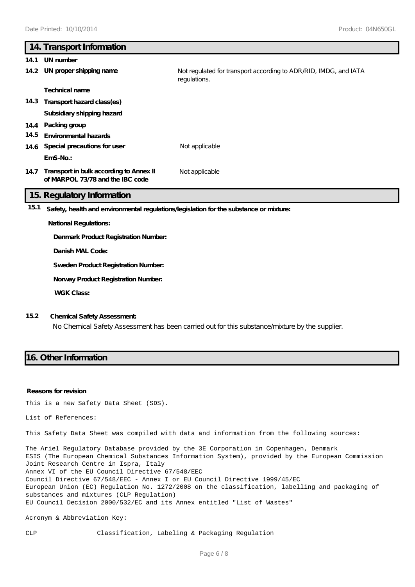# **14. Transport Information 14.1 UN number 14.2 UN proper shipping name** Not regulated for transport according to ADR/RID, IMDG, and IATA regulations. **Technical name 14.3 Transport hazard class(es) Subsidiary shipping hazard 14.4 Packing group 14.5 Environmental hazards 14.6 Special precautions for user** Not applicable **EmS-No.: Transport in bulk according to Annex II 14.7** Not applicable **of MARPOL 73/78 and the IBC code 15. Regulatory Information 15.1 Safety, health and environmental regulations/legislation for the substance or mixture: National Regulations: Denmark Product Registration Number:**

**Danish MAL Code:**

**Sweden Product Registration Number:**

**Norway Product Registration Number:**

**WGK Class:**

### **15.2 Chemical Safety Assessment:**

No Chemical Safety Assessment has been carried out for this substance/mixture by the supplier.

# **16. Other Information**

#### **Reasons for revision**

This is a new Safety Data Sheet (SDS).

List of References:

This Safety Data Sheet was compiled with data and information from the following sources:

The Ariel Regulatory Database provided by the 3E Corporation in Copenhagen, Denmark ESIS (The European Chemical Substances Information System), provided by the European Commission Joint Research Centre in Ispra, Italy Annex VI of the EU Council Directive 67/548/EEC Council Directive 67/548/EEC - Annex I or EU Council Directive 1999/45/EC European Union (EC) Regulation No. 1272/2008 on the classification, labelling and packaging of substances and mixtures (CLP Regulation) EU Council Decision 2000/532/EC and its Annex entitled "List of Wastes"

Acronym & Abbreviation Key:

CLP Classification, Labeling & Packaging Regulation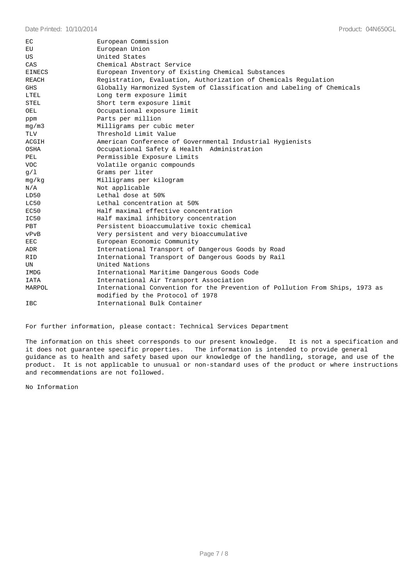| EC            | European Commission                                                          |
|---------------|------------------------------------------------------------------------------|
| EU            | European Union                                                               |
| US            | United States                                                                |
| CAS           | Chemical Abstract Service                                                    |
| <b>EINECS</b> | European Inventory of Existing Chemical Substances                           |
| <b>REACH</b>  | Registration, Evaluation, Authorization of Chemicals Regulation              |
| GHS           | Globally Harmonized System of Classification and Labeling of Chemicals       |
| LTEL          | Long term exposure limit                                                     |
| <b>STEL</b>   | Short term exposure limit                                                    |
| OEL           | Occupational exposure limit                                                  |
| ppm           | Parts per million                                                            |
| mq/m3         | Milligrams per cubic meter                                                   |
| <b>TLV</b>    | Threshold Limit Value                                                        |
| ACGIH         | American Conference of Governmental Industrial Hygienists                    |
| OSHA          | Occupational Safety & Health Administration                                  |
| PEL           | Permissible Exposure Limits                                                  |
| <b>VOC</b>    | Volatile organic compounds                                                   |
| q/1           | Grams per liter                                                              |
| mq/kg         | Milligrams per kilogram                                                      |
| N/A           | Not applicable                                                               |
| LD50          | Lethal dose at 50%                                                           |
| LC50          | Lethal concentration at 50%                                                  |
| EC50          | Half maximal effective concentration                                         |
| IC50          | Half maximal inhibitory concentration                                        |
| PBT           | Persistent bioaccumulative toxic chemical                                    |
| vPvB          | Very persistent and very bioaccumulative                                     |
| EEC           | European Economic Community                                                  |
| ADR           | International Transport of Dangerous Goods by Road                           |
| <b>RID</b>    | International Transport of Dangerous Goods by Rail                           |
| UN            | United Nations                                                               |
| IMDG          | International Maritime Dangerous Goods Code                                  |
| <b>IATA</b>   | International Air Transport Association                                      |
| MARPOL        | International Convention for the Prevention of Pollution From Ships, 1973 as |
|               | modified by the Protocol of 1978                                             |
| <b>IBC</b>    | International Bulk Container                                                 |

For further information, please contact: Technical Services Department

The information on this sheet corresponds to our present knowledge. It is not a specification and it does not guarantee specific properties. The information is intended to provide general guidance as to health and safety based upon our knowledge of the handling, storage, and use of the product. It is not applicable to unusual or non-standard uses of the product or where instructions and recommendations are not followed.

No Information